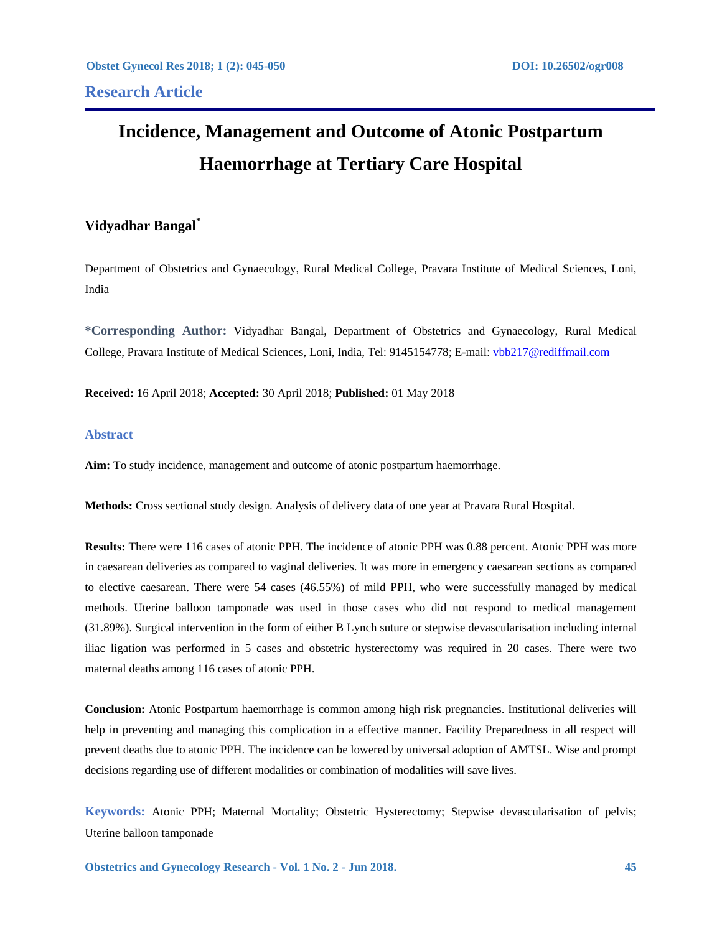# **Incidence, Management and Outcome of Atonic Postpartum Haemorrhage at Tertiary Care Hospital**

# **Vidyadhar Bangal\***

Department of Obstetrics and Gynaecology, Rural Medical College, Pravara Institute of Medical Sciences, Loni, India

**\*Corresponding Author:** Vidyadhar Bangal, Department of Obstetrics and Gynaecology, Rural Medical College, Pravara Institute of Medical Sciences, Loni, India, Tel: 9145154778; E-mail: vbb217@rediffmail.com

**Received:** 16 April 2018; **Accepted:** 30 April 2018; **Published:** 01 May 2018

## **Abstract**

**Aim:** To study incidence, management and outcome of atonic postpartum haemorrhage.

**Methods:** Cross sectional study design. Analysis of delivery data of one year at Pravara Rural Hospital.

**Results:** There were 116 cases of atonic PPH. The incidence of atonic PPH was 0.88 percent. Atonic PPH was more in caesarean deliveries as compared to vaginal deliveries. It was more in emergency caesarean sections as compared to elective caesarean. There were 54 cases (46.55%) of mild PPH, who were successfully managed by medical methods. Uterine balloon tamponade was used in those cases who did not respond to medical management (31.89%). Surgical intervention in the form of either B Lynch suture or stepwise devascularisation including internal iliac ligation was performed in 5 cases and obstetric hysterectomy was required in 20 cases. There were two maternal deaths among 116 cases of atonic PPH.

**Conclusion:** Atonic Postpartum haemorrhage is common among high risk pregnancies. Institutional deliveries will help in preventing and managing this complication in a effective manner. Facility Preparedness in all respect will prevent deaths due to atonic PPH. The incidence can be lowered by universal adoption of AMTSL. Wise and prompt decisions regarding use of different modalities or combination of modalities will save lives.

**Keywords:** Atonic PPH; Maternal Mortality; Obstetric Hysterectomy; Stepwise devascularisation of pelvis; Uterine balloon tamponade

**Obstetrics and Gynecology Research - Vol. 1 No. 2 - Jun 2018. 45**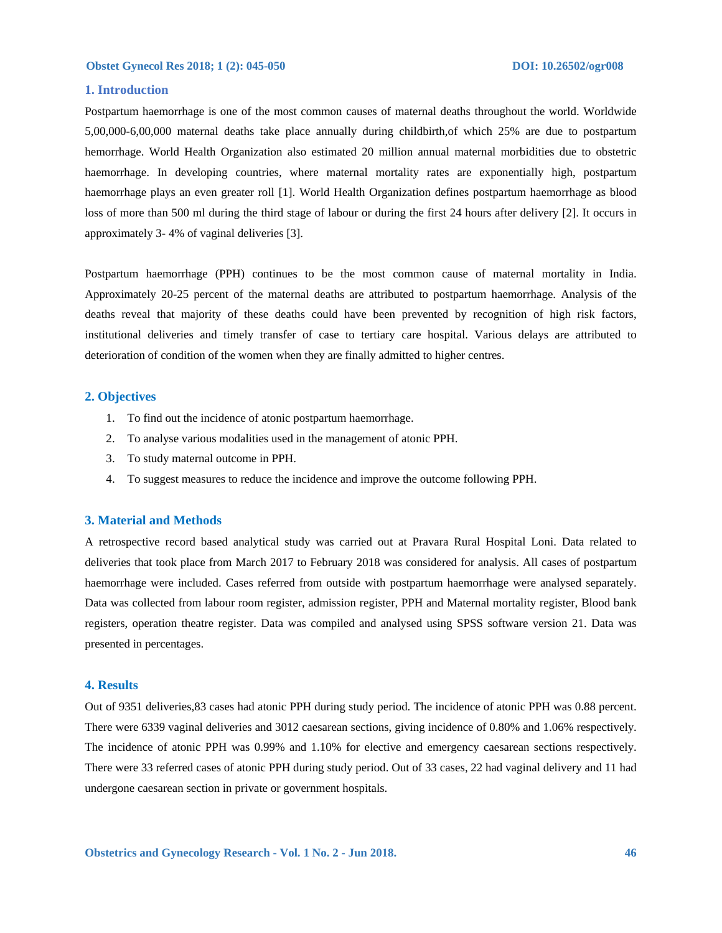### **1. Introduction**

Postpartum haemorrhage is one of the most common causes of maternal deaths throughout the world. Worldwide 5,00,000-6,00,000 maternal deaths take place annually during childbirth,of which 25% are due to postpartum hemorrhage. World Health Organization also estimated 20 million annual maternal morbidities due to obstetric haemorrhage. In developing countries, where maternal mortality rates are exponentially high, postpartum haemorrhage plays an even greater roll [1]. World Health Organization defines postpartum haemorrhage as blood loss of more than 500 ml during the third stage of labour or during the first 24 hours after delivery [2]. It occurs in approximately 3- 4% of vaginal deliveries [3].

Postpartum haemorrhage (PPH) continues to be the most common cause of maternal mortality in India. Approximately 20-25 percent of the maternal deaths are attributed to postpartum haemorrhage. Analysis of the deaths reveal that majority of these deaths could have been prevented by recognition of high risk factors, institutional deliveries and timely transfer of case to tertiary care hospital. Various delays are attributed to deterioration of condition of the women when they are finally admitted to higher centres.

### **2. Objectives**

- 1. To find out the incidence of atonic postpartum haemorrhage.
- 2. To analyse various modalities used in the management of atonic PPH.
- 3. To study maternal outcome in PPH.
- 4. To suggest measures to reduce the incidence and improve the outcome following PPH.

### **3. Material and Methods**

A retrospective record based analytical study was carried out at Pravara Rural Hospital Loni. Data related to deliveries that took place from March 2017 to February 2018 was considered for analysis. All cases of postpartum haemorrhage were included. Cases referred from outside with postpartum haemorrhage were analysed separately. Data was collected from labour room register, admission register, PPH and Maternal mortality register, Blood bank registers, operation theatre register. Data was compiled and analysed using SPSS software version 21. Data was presented in percentages.

### **4. Results**

Out of 9351 deliveries,83 cases had atonic PPH during study period. The incidence of atonic PPH was 0.88 percent. There were 6339 vaginal deliveries and 3012 caesarean sections, giving incidence of 0.80% and 1.06% respectively. The incidence of atonic PPH was 0.99% and 1.10% for elective and emergency caesarean sections respectively. There were 33 referred cases of atonic PPH during study period. Out of 33 cases, 22 had vaginal delivery and 11 had undergone caesarean section in private or government hospitals.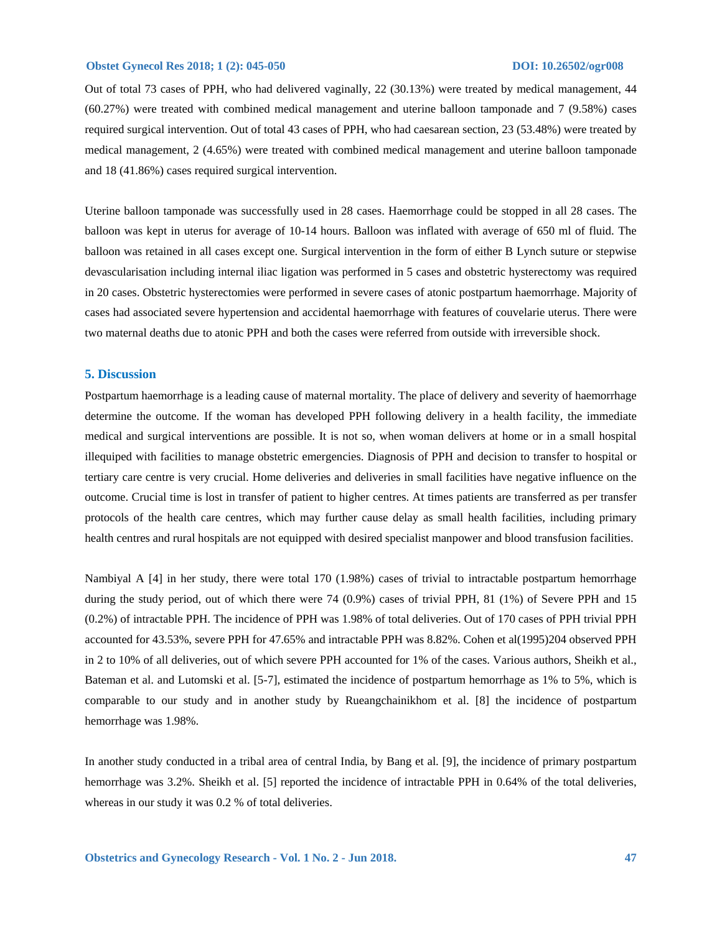### **Obstet Gynecol Res 2018; 1 (2): 045-050 DOI: 10.26502/ogr008**

Out of total 73 cases of PPH, who had delivered vaginally, 22 (30.13%) were treated by medical management, 44 (60.27%) were treated with combined medical management and uterine balloon tamponade and 7 (9.58%) cases required surgical intervention. Out of total 43 cases of PPH, who had caesarean section, 23 (53.48%) were treated by medical management, 2 (4.65%) were treated with combined medical management and uterine balloon tamponade and 18 (41.86%) cases required surgical intervention.

Uterine balloon tamponade was successfully used in 28 cases. Haemorrhage could be stopped in all 28 cases. The balloon was kept in uterus for average of 10-14 hours. Balloon was inflated with average of 650 ml of fluid. The balloon was retained in all cases except one. Surgical intervention in the form of either B Lynch suture or stepwise devascularisation including internal iliac ligation was performed in 5 cases and obstetric hysterectomy was required in 20 cases. Obstetric hysterectomies were performed in severe cases of atonic postpartum haemorrhage. Majority of cases had associated severe hypertension and accidental haemorrhage with features of couvelarie uterus. There were two maternal deaths due to atonic PPH and both the cases were referred from outside with irreversible shock.

### **5. Discussion**

Postpartum haemorrhage is a leading cause of maternal mortality. The place of delivery and severity of haemorrhage determine the outcome. If the woman has developed PPH following delivery in a health facility, the immediate medical and surgical interventions are possible. It is not so, when woman delivers at home or in a small hospital illequiped with facilities to manage obstetric emergencies. Diagnosis of PPH and decision to transfer to hospital or tertiary care centre is very crucial. Home deliveries and deliveries in small facilities have negative influence on the outcome. Crucial time is lost in transfer of patient to higher centres. At times patients are transferred as per transfer protocols of the health care centres, which may further cause delay as small health facilities, including primary health centres and rural hospitals are not equipped with desired specialist manpower and blood transfusion facilities.

Nambiyal A [4] in her study, there were total 170 (1.98%) cases of trivial to intractable postpartum hemorrhage during the study period, out of which there were 74 (0.9%) cases of trivial PPH, 81 (1%) of Severe PPH and 15 (0.2%) of intractable PPH. The incidence of PPH was 1.98% of total deliveries. Out of 170 cases of PPH trivial PPH accounted for 43.53%, severe PPH for 47.65% and intractable PPH was 8.82%. Cohen et al(1995)204 observed PPH in 2 to 10% of all deliveries, out of which severe PPH accounted for 1% of the cases. Various authors, Sheikh et al., Bateman et al. and Lutomski et al. [5-7], estimated the incidence of postpartum hemorrhage as 1% to 5%, which is comparable to our study and in another study by Rueangchainikhom et al. [8] the incidence of postpartum hemorrhage was 1.98%.

In another study conducted in a tribal area of central India, by Bang et al. [9], the incidence of primary postpartum hemorrhage was 3.2%. Sheikh et al. [5] reported the incidence of intractable PPH in 0.64% of the total deliveries, whereas in our study it was 0.2 % of total deliveries.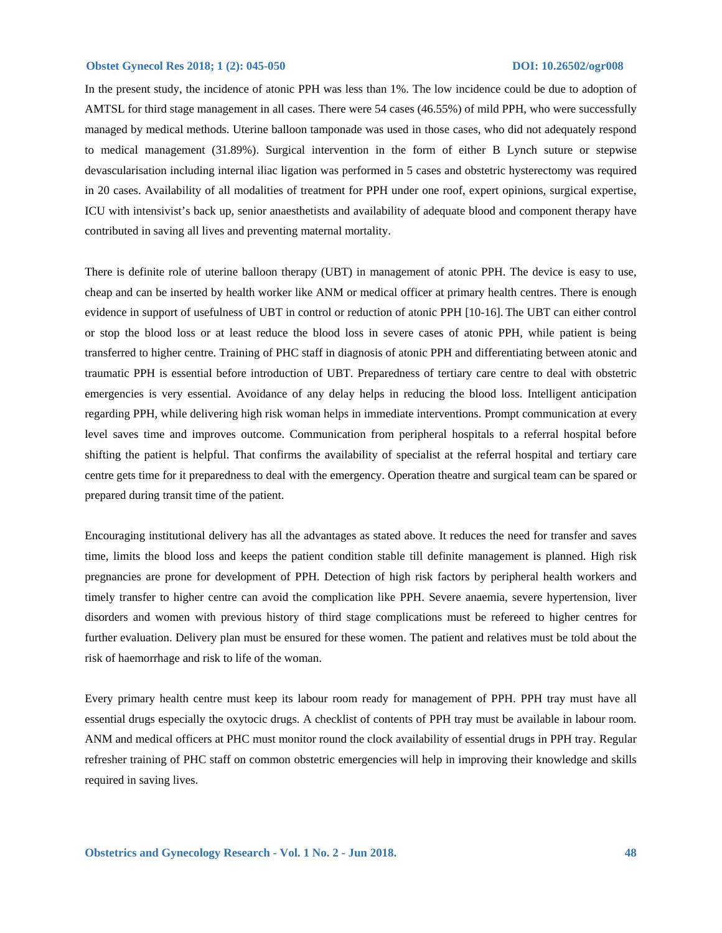### **Obstet Gynecol Res 2018; 1 (2): 045-050 DOI: 10.26502/ogr008**

In the present study, the incidence of atonic PPH was less than 1%. The low incidence could be due to adoption of AMTSL for third stage management in all cases. There were 54 cases (46.55%) of mild PPH, who were successfully managed by medical methods. Uterine balloon tamponade was used in those cases, who did not adequately respond to medical management (31.89%). Surgical intervention in the form of either B Lynch suture or stepwise devascularisation including internal iliac ligation was performed in 5 cases and obstetric hysterectomy was required in 20 cases. Availability of all modalities of treatment for PPH under one roof, expert opinions, surgical expertise, ICU with intensivist's back up, senior anaesthetists and availability of adequate blood and component therapy have contributed in saving all lives and preventing maternal mortality.

There is definite role of uterine balloon therapy (UBT) in management of atonic PPH. The device is easy to use, cheap and can be inserted by health worker like ANM or medical officer at primary health centres. There is enough evidence in support of usefulness of UBT in control or reduction of atonic PPH [10-16]. The UBT can either control or stop the blood loss or at least reduce the blood loss in severe cases of atonic PPH, while patient is being transferred to higher centre. Training of PHC staff in diagnosis of atonic PPH and differentiating between atonic and traumatic PPH is essential before introduction of UBT. Preparedness of tertiary care centre to deal with obstetric emergencies is very essential. Avoidance of any delay helps in reducing the blood loss. Intelligent anticipation regarding PPH, while delivering high risk woman helps in immediate interventions. Prompt communication at every level saves time and improves outcome. Communication from peripheral hospitals to a referral hospital before shifting the patient is helpful. That confirms the availability of specialist at the referral hospital and tertiary care centre gets time for it preparedness to deal with the emergency. Operation theatre and surgical team can be spared or prepared during transit time of the patient.

Encouraging institutional delivery has all the advantages as stated above. It reduces the need for transfer and saves time, limits the blood loss and keeps the patient condition stable till definite management is planned. High risk pregnancies are prone for development of PPH. Detection of high risk factors by peripheral health workers and timely transfer to higher centre can avoid the complication like PPH. Severe anaemia, severe hypertension, liver disorders and women with previous history of third stage complications must be refereed to higher centres for further evaluation. Delivery plan must be ensured for these women. The patient and relatives must be told about the risk of haemorrhage and risk to life of the woman.

Every primary health centre must keep its labour room ready for management of PPH. PPH tray must have all essential drugs especially the oxytocic drugs. A checklist of contents of PPH tray must be available in labour room. ANM and medical officers at PHC must monitor round the clock availability of essential drugs in PPH tray. Regular refresher training of PHC staff on common obstetric emergencies will help in improving their knowledge and skills required in saving lives.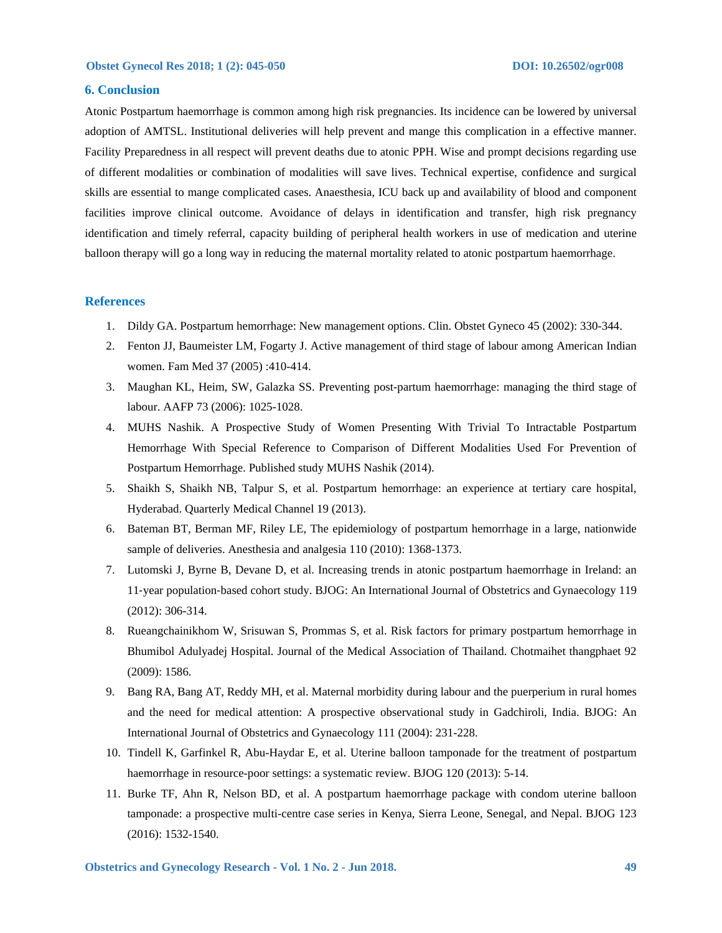### **6. Conclusion**

Atonic Postpartum haemorrhage is common among high risk pregnancies. Its incidence can be lowered by universal adoption of AMTSL. Institutional deliveries will help prevent and mange this complication in a effective manner. Facility Preparedness in all respect will prevent deaths due to atonic PPH. Wise and prompt decisions regarding use of different modalities or combination of modalities will save lives. Technical expertise, confidence and surgical skills are essential to mange complicated cases. Anaesthesia, ICU back up and availability of blood and component facilities improve clinical outcome. Avoidance of delays in identification and transfer, high risk pregnancy identification and timely referral, capacity building of peripheral health workers in use of medication and uterine balloon therapy will go a long way in reducing the maternal mortality related to atonic postpartum haemorrhage.

### **References**

- 1. Dildy GA. Postpartum hemorrhage: New management options. Clin. Obstet Gyneco 45 (2002): 330-344.
- 2. Fenton JJ, Baumeister LM, Fogarty J. Active management of third stage of labour among American Indian women. Fam Med 37 (2005) :410-414.
- 3. Maughan KL, Heim, SW, Galazka SS. Preventing post-partum haemorrhage: managing the third stage of labour. AAFP 73 (2006): 1025-1028.
- 4. MUHS Nashik. A Prospective Study of Women Presenting With Trivial To Intractable Postpartum Hemorrhage With Special Reference to Comparison of Different Modalities Used For Prevention of Postpartum Hemorrhage. Published study MUHS Nashik (2014).
- 5. Shaikh S, Shaikh NB, Talpur S, et al. Postpartum hemorrhage: an experience at tertiary care hospital, Hyderabad. Quarterly Medical Channel 19 (2013).
- 6. Bateman BT, Berman MF, Riley LE, The epidemiology of postpartum hemorrhage in a large, nationwide sample of deliveries. Anesthesia and analgesia 110 (2010): 1368-1373.
- 7. Lutomski J, Byrne B, Devane D, et al. Increasing trends in atonic postpartum haemorrhage in Ireland: an 11‐year population‐based cohort study. BJOG: An International Journal of Obstetrics and Gynaecology 119 (2012): 306-314.
- 8. Rueangchainikhom W, Srisuwan S, Prommas S, et al. Risk factors for primary postpartum hemorrhage in Bhumibol Adulyadej Hospital. Journal of the Medical Association of Thailand. Chotmaihet thangphaet 92 (2009): 1586.
- 9. Bang RA, Bang AT, Reddy MH, et al. Maternal morbidity during labour and the puerperium in rural homes and the need for medical attention: A prospective observational study in Gadchiroli, India. BJOG: An International Journal of Obstetrics and Gynaecology 111 (2004): 231-228.
- 10. Tindell K, Garfinkel R, Abu-Haydar E, et al. Uterine balloon tamponade for the treatment of postpartum haemorrhage in resource-poor settings: a systematic review. BJOG 120 (2013): 5-14.
- 11. Burke TF, Ahn R, Nelson BD, et al. A postpartum haemorrhage package with condom uterine balloon tamponade: a prospective multi-centre case series in Kenya, Sierra Leone, Senegal, and Nepal. BJOG 123 (2016): 1532-1540.